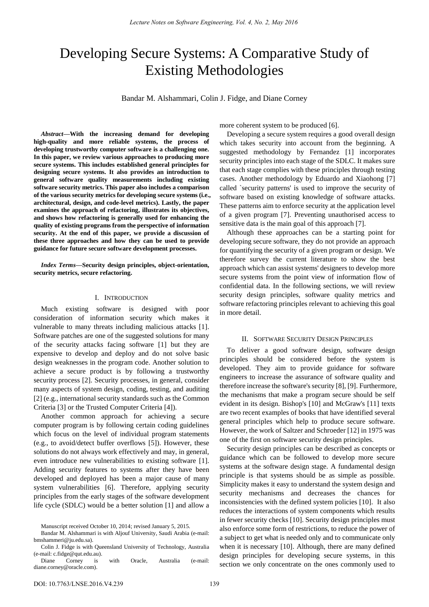# Developing Secure Systems: A Comparative Study of Existing Methodologies

Bandar M. Alshammari, Colin J. Fidge, and Diane Corney

*Abstract***—With the increasing demand for developing high-quality and more reliable systems, the process of developing trustworthy computer software is a challenging one. In this paper, we review various approaches to producing more secure systems. This includes established general principles for designing secure systems. It also provides an introduction to general software quality measurements including existing software security metrics. This paper also includes a comparison of the various security metrics for developing secure systems (i.e., architectural, design, and code-level metrics). Lastly, the paper examines the approach of refactoring, illustrates its objectives, and shows how refactoring is generally used for enhancing the quality of existing programs from the perspective of information security. At the end of this paper, we provide a discussion of these three approaches and how they can be used to provide guidance for future secure software development processes.** 

*Index Terms***—Security design principles, object-orientation, security metrics, secure refactoring.** 

# I. INTRODUCTION

Much existing software is designed with poor consideration of information security which makes it vulnerable to many threats including malicious attacks [1]. Software patches are one of the suggested solutions for many of the security attacks facing software [1] but they are expensive to develop and deploy and do not solve basic design weaknesses in the program code. Another solution to achieve a secure product is by following a trustworthy security process [2]. Security processes, in general, consider many aspects of system design, coding, testing, and auditing [2] (e.g., international security standards such as the Common Criteria [3] or the Trusted Computer Criteria [4]).

Another common approach for achieving a secure computer program is by following certain coding guidelines which focus on the level of individual program statements (e.g., to avoid/detect buffer overflows [5]). However, these solutions do not always work effectively and may, in general, even introduce new vulnerabilities to existing software [1]. Adding security features to systems after they have been developed and deployed has been a major cause of many system vulnerabilities [6]. Therefore, applying security principles from the early stages of the software development life cycle (SDLC) would be a better solution [1] and allow a more coherent system to be produced [6].

Developing a secure system requires a good overall design which takes security into account from the beginning. A suggested methodology by Fernandez [1] incorporates security principles into each stage of the SDLC. It makes sure that each stage complies with these principles through testing cases. Another methodology by Eduardo and Xiaohong [7] called `security patterns' is used to improve the security of software based on existing knowledge of software attacks. These patterns aim to enforce security at the application level of a given program [7]. Preventing unauthorised access to sensitive data is the main goal of this approach [7].

Although these approaches can be a starting point for developing secure software, they do not provide an approach for quantifying the security of a given program or design. We therefore survey the current literature to show the best approach which can assist systems' designers to develop more secure systems from the point view of information flow of confidential data. In the following sections, we will review security design principles, software quality metrics and software refactoring principles relevant to achieving this goal in more detail.

#### II. SOFTWARE SECURITY DESIGN PRINCIPLES

To deliver a good software design, software design principles should be considered before the system is developed. They aim to provide guidance for software engineers to increase the assurance of software quality and therefore increase the software's security [8], [9]. Furthermore, the mechanisms that make a program secure should be self evident in its design. Bishop's [10] and McGraw's [11] texts are two recent examples of books that have identified several general principles which help to produce secure software. However, the work of Saltzer and Schroeder [12] in 1975 was one of the first on software security design principles.

Security design principles can be described as concepts or guidance which can be followed to develop more secure systems at the software design stage. A fundamental design principle is that systems should be as simple as possible. Simplicity makes it easy to understand the system design and security mechanisms and decreases the chances for inconsistencies with the defined system policies [10]. It also reduces the interactions of system components which results in fewer security checks [10]. Security design principles must also enforce some form of restrictions, to reduce the power of a subject to get what is needed only and to communicate only when it is necessary [10]. Although, there are many defined design principles for developing secure systems, in this section we only concentrate on the ones commonly used to

Manuscript received October 10, 2014; revised January 5, 2015.

Bandar M. Alshammari is with Aljouf University, Saudi Arabia (e-mail: bmshammeri@ju.edu.sa).

Colin J. Fidge is with Queensland University of Technology, Australia (e-mail: c.fidge@qut.edu.au).

Diane Corney is with Oracle, Australia (e-mail: diane.corney@oracle.com).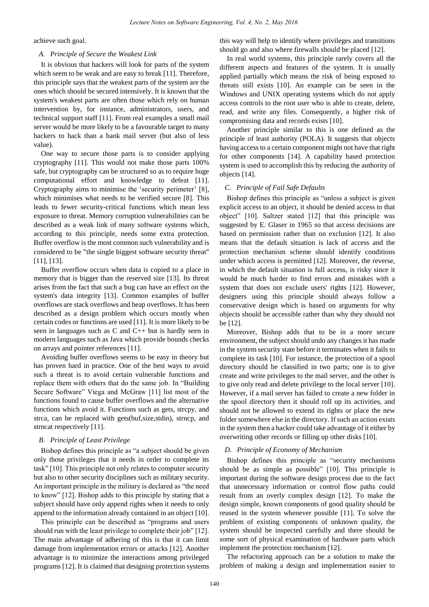achieve such goal.

## *A. Principle of Secure the Weakest Link*

It is obvious that hackers will look for parts of the system which seem to be weak and are easy to break [11]. Therefore, this principle says that the weakest parts of the system are the ones which should be secured intensively. It is known that the system's weakest parts are often those which rely on human intervention by, for instance, administrators, users, and technical support staff [11]. From real examples a small mail server would be more likely to be a favourable target to many hackers to hack than a bank mail server (but also of less value).

One way to secure those parts is to consider applying cryptography [11]. This would not make those parts 100% safe, but cryptography can be structured so as to require huge computational effort and knowledge to defeat [11]. Cryptography aims to minimise the 'security perimeter' [8], which minimises what needs to be verified secure [8]. This leads to fewer security-critical functions which mean less exposure to threat. Memory corruption vulnerabilities can be described as a weak link of many software systems which, according to this principle, needs some extra protection. Buffer overflow is the most common such vulnerability and is considered to be "the single biggest software security threat" [11], [13].

Buffer overflow occurs when data is copied to a place in memory that is bigger than the reserved size [13]. Its threat arises from the fact that such a bug can have an effect on the system's data integrity [13]. Common examples of buffer overflows are stack overflows and heap overflows. It has been described as a design problem which occurs mostly when certain codes or functions are used [11]. It is more likely to be seen in languages such as C and C++ but is hardly seen in modern languages such as Java which provide bounds checks on arrays and pointer references [11].

Avoiding buffer overflows seems to be easy in theory but has proven hard in practice. One of the best ways to avoid such a threat is to avoid certain vulnerable functions and replace them with others that do the same job. In "Building Secure Software" Viega and McGraw [11] list most of the functions found to cause buffer overflows and the alternative functions which avoid it. Functions such as gets, strcpy, and strca, can be replaced with gets(buf,size,stdin), strncp, and strncat respectively [11].

# *B. Principle of Least Privilege*

Bishop defines this principle as "a subject should be given only those privileges that it needs in order to complete its task" [10]. This principle not only relates to computer security but also to other security disciplines such as military security. An important principle in the military is declared as "the need to know" [12]. Bishop adds to this principle by stating that a subject should have only append rights when it needs to only append to the information already contained in an object [10].

This principle can be described as "programs and users should run with the least privilege to complete their job" [12]. The main advantage of adhering of this is that it can limit damage from implementation errors or attacks [12]. Another advantage is to minimize the interactions among privileged programs [12]. It is claimed that designing protection systems this way will help to identify where privileges and transitions should go and also where firewalls should be placed [12].

In real world systems, this principle rarely covers all the different aspects and features of the system. It is usually applied partially which means the risk of being exposed to threats still exists [10]. An example can be seen in the Windows and UNIX operating systems which do not apply access controls to the root user who is able to create, delete, read, and write any files. Consequently, a higher risk of compromising data and records exists [10].

Another principle similar to this is one defined as the principle of least authority (POLA). It suggests that objects having access to a certain component might not have that right for other components [14]. A capability based protection system is used to accomplish this by reducing the authority of objects [14].

# *C. Principle of Fail Safe Defaults*

Bishop defines this principle as "unless a subject is given explicit access to an object, it should be denied access to that object" [10]. Saltzer stated [12] that this principle was suggested by E. Glaser in 1965 so that access decisions are based on permission rather than on exclusion [12]. It also means that the default situation is lack of access and the protection mechanism scheme should identify conditions under which access is permitted [12]. Moreover, the reverse, in which the default situation is full access, is risky since it would be much harder to find errors and mistakes with a system that does not exclude users' rights [12]. However, designers using this principle should always follow a conservative design which is based on arguments for why objects should be accessible rather than why they should not be [12].

Moreover, Bishop adds that to be in a more secure environment, the subject should undo any changes it has made in the system security state before it terminates when it fails to complete its task [10]. For instance, the protection of a spool directory should be classified in two parts; one is to give create and write privileges to the mail server, and the other is to give only read and delete privilege to the local server [10]. However, if a mail server has failed to create a new folder in the spool directory then it should roll up its activities, and should not be allowed to extend its rights or place the new folder somewhere else in the directory. If such an action exists in the system then a hacker could take advantage of it either by overwriting other records or filling up other disks [10].

#### *D. Principle of Economy of Mechanism*

Bishop defines this principle as "security mechanisms should be as simple as possible" [10]. This principle is important during the software design process due to the fact that unnecessary information or control flow paths could result from an overly complex design [12]. To make the design simple, known components of good quality should be reused in the system whenever possible [11]. To solve the problem of existing components of unknown quality, the system should be inspected carefully and there should be some sort of physical examination of hardware parts which implement the protection mechanism [12].

The refactoring approach can be a solution to make the problem of making a design and implementation easier to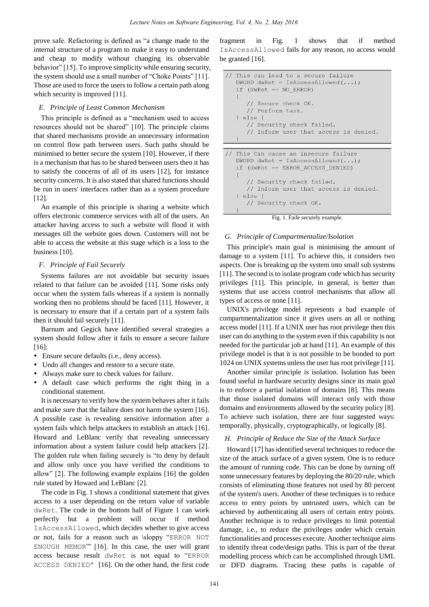prove safe. Refactoring is defined as "a change made to the internal structure of a program to make it easy to understand and cheap to modify without changing its observable behavior" [15]. To improve simplicity while ensuring security, the system should use a small number of "Choke Points" [11]. Those are used to force the users to follow a certain path along which security is improved [11].

## *E. Principle of Least Common Mechanism*

This principle is defined as a "mechanism used to access resources should not be shared" [10]. The principle claims that shared mechanisms provide an unnecessary information on control flow path between users. Such paths should be minimised to better secure the system [10]. However, if there is a mechanism that has to be shared between users then it has to satisfy the concerns of all of its users [12], for instance security concerns. It is also stated that shared functions should be run in users' interfaces rather than as a system procedure [12].

An example of this principle is sharing a website which offers electronic commerce services with all of the users. An attacker having access to such a website will flood it with messages till the website goes down. Customers will not be able to access the website at this stage which is a loss to the business [10].

# *F. Principle of Fail Securely*

Systems failures are not avoidable but security issues related to that failure can be avoided [11]. Some risks only occur when the system fails whereas if a system is normally working then no problems should be faced [11]. However, it is necessary to ensure that if a certain part of a system fails then it should fail securely [11].

Barnum and Gegick have identified several strategies a system should follow after it fails to ensure a secure failure [16]:

- Ensure secure defaults (i.e., deny access).
- Undo all changes and restore to a secure state.
- Always make sure to check values for failure.
- A default case which performs the right thing in a conditional statement.

It is necessary to verify how the system behaves after it fails and make sure that the failure does not harm the system [16]. A possible case is revealing sensitive information after a system fails which helps attackers to establish an attack [16]. Howard and LeBlanc verify that revealing unnecessary information about a system failure could help attackers [2]. The golden rule when failing securely is "to deny by default and allow only once you have verified the conditions to allow" [2]. The following example explains [16] the golden rule stated by Howard and LeBlanc [2].

The code in Fig. 1 shows a conditional statement that gives access to a user depending on the return value of variable dwRet. The code in the bottom half of Figure 1 can work perfectly but a problem will occur if method IsAccessAllowed, which decides whether to give access or not, fails for a reason such as \sloppy "ERROR NOT ENOUGH MEMOR"' [16]. In this case, the user will grant access because result dwRet is not equal to "ERROR ACCESS DENIED" [16]. On the other hand, the first code fragment in Fig. 1 shows that if method IsAccessAllowed fails for any reason, no access would be granted [16].

```
// This can lead to a secure failure
   DWORD dwRet = IsAccessAllowed(...);if (dwRet == NO ERROR)// Secure check OK.
      // Perform task.
   \} else {
      // Security check failed.
      // Inform user that access is denied.
```

```
This Can cause an insecure failure
DWORD dwRet = IsAccessAllowed(...);if (dwRet == ERROR ACCESS DENIED)
   // Security check failed.
   // Inform user that access is denied.
  else {
   // Security check OK.
```


#### *G. Principle of Compartmentalize/Isolation*

This principle's main goal is minimising the amount of damage to a system [11]. To achieve this, it considers two aspects. One is breaking up the system into small sub systems [11]. The second is to isolate program code which has security privileges [11]. This principle, in general, is better than systems that use access control mechanisms that allow all types of access or none [11].

UNIX's privilege model represents a bad example of compartmentalization since it gives users an all or nothing access model [11]. If a UNIX user has root privilege then this user can do anything to the system even if this capability is not needed for the particular job at hand [11]. An example of this privilege model is that it is not possible to be bonded to port 1024 on UNIX systems unless the user has root privilege [11].

Another similar principle is isolation. Isolation has been found useful in hardware security designs since its main goal is to enforce a partial isolation of domains [8]. This means that those isolated domains will interact only with those domains and environments allowed by the security policy [8]. To achieve such isolation, there are four suggested ways: temporally, physically, cryptographically, or logically [8].

## *H. Principle of Reduce the Size of the Attack Surface*

Howard [17] has identified several techniques to reduce the size of the attack surface of a given system. One is to reduce the amount of running code. This can be done by turning off some unnecessary features by deploying the 80/20 rule, which consists of eliminating those features not used by 80 percent of the system's users. Another of these techniques is to reduce access to entry points by untrusted users, which can be achieved by authenticating all users of certain entry points. Another technique is to reduce privileges to limit potential damage, i.e., to reduce the privileges under which certain functionalities and processes execute. Another technique aims to identify threat code/design paths. This is part of the threat modelling process which can be accomplished through UML or DFD diagrams. Tracing these paths is capable of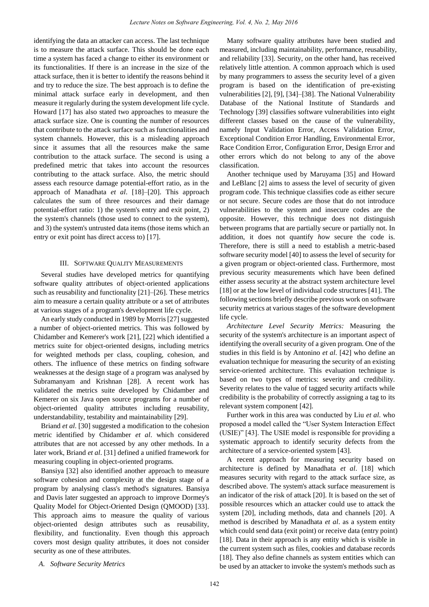identifying the data an attacker can access. The last technique is to measure the attack surface. This should be done each time a system has faced a change to either its environment or its functionalities. If there is an increase in the size of the attack surface, then it is better to identify the reasons behind it and try to reduce the size. The best approach is to define the minimal attack surface early in development, and then measure it regularly during the system development life cycle. Howard [17] has also stated two approaches to measure the attack surface size. One is counting the number of resources that contribute to the attack surface such as functionalities and system channels. However, this is a misleading approach since it assumes that all the resources make the same contribution to the attack surface. The second is using a predefined metric that takes into account the resources contributing to the attack surface. Also, the metric should assess each resource damage potential-effort ratio, as in the approach of Manadhata *et al*. [18]–[20]. This approach calculates the sum of three resources and their damage potential-effort ratio: 1) the system's entry and exit point, 2) the system's channels (those used to connect to the system), and 3) the system's untrusted data items (those items which an entry or exit point has direct access to) [17].

#### III. SOFTWARE QUALITY MEASUREMENTS

Several studies have developed metrics for quantifying software quality attributes of object-oriented applications such as reusability and functionality [21]–[26]. These metrics aim to measure a certain quality attribute or a set of attributes at various stages of a program's development life cycle.

An early study conducted in 1989 by Morris [27] suggested a number of object-oriented metrics. This was followed by Chidamber and Kemerer's work [21], [22] which identified a metrics suite for object-oriented designs, including metrics for weighted methods per class, coupling, cohesion, and others. The influence of these metrics on finding software weaknesses at the design stage of a program was analysed by Subramanyam and Krishnan [28]. A recent work has validated the metrics suite developed by Chidamber and Kemerer on six Java open source programs for a number of object-oriented quality attributes including reusability, understandability, testability and maintainability [29].

Briand *et al*. [30] suggested a modification to the cohesion metric identified by Chidamber *et al*. which considered attributes that are not accessed by any other methods. In a later work, Briand *et al*. [31] defined a unified framework for measuring coupling in object-oriented programs.

Bansiya [32] also identified another approach to measure software cohesion and complexity at the design stage of a program by analysing class's method's signatures. Bansiya and Davis later suggested an approach to improve Dormey's Quality Model for Object-Oriented Design (QMOOD) [33]. This approach aims to measure the quality of various object-oriented design attributes such as reusability, flexibility, and functionality. Even though this approach covers most design quality attributes, it does not consider security as one of these attributes.

Many software quality attributes have been studied and measured, including maintainability, performance, reusability, and reliability [33]. Security, on the other hand, has received relatively little attention. A common approach which is used by many programmers to assess the security level of a given program is based on the identification of pre-existing vulnerabilities [2], [9], [34]–[38]. The National Vulnerability Database of the National Institute of Standards and Technology [39] classifies software vulnerabilities into eight different classes based on the cause of the vulnerability, namely Input Validation Error, Access Validation Error, Exceptional Condition Error Handling, Environmental Error, Race Condition Error, Configuration Error, Design Error and other errors which do not belong to any of the above classification.

Another technique used by Maruyama [35] and Howard and LeBlanc [2] aims to assess the level of security of given program code. This technique classifies code as either secure or not secure. Secure codes are those that do not introduce vulnerabilities to the system and insecure codes are the opposite. However, this technique does not distinguish between programs that are partially secure or partially not. In addition, it does not quantify *how* secure the code is. Therefore, there is still a need to establish a metric-based software security model [40] to assess the level of security for a given program or object-oriented class. Furthermore, most previous security measurements which have been defined either assess security at the abstract system architecture level [18] or at the low level of individual code structures [41]. The following sections briefly describe previous work on software security metrics at various stages of the software development life cycle.

*Architecture Level Security Metrics:* Measuring the security of the system's architecture is an important aspect of identifying the overall security of a given program. One of the studies in this field is by Antonino *et al*. [42] who define an evaluation technique for measuring the security of an existing service-oriented architecture. This evaluation technique is based on two types of metrics: severity and credibility. Severity relates to the value of tagged security artifacts while credibility is the probability of correctly assigning a tag to its relevant system component [42].

Further work in this area was conducted by Liu *et al*. who proposed a model called the "User System Interaction Effect (USIE)" [43]. The USIE model is responsible for providing a systematic approach to identify security defects from the architecture of a service-oriented system [43].

A recent approach for measuring security based on architecture is defined by Manadhata *et al*. [18] which measures security with regard to the attack surface size, as described above. The system's attack surface measurement is an indicator of the risk of attack [20]. It is based on the set of possible resources which an attacker could use to attack the system [20], including methods, data and channels [20]. A method is described by Manadhata *et al*. as a system entity which could send data (exit point) or receive data (entry point) [18]. Data in their approach is any entity which is visible in the current system such as files, cookies and database records [18]. They also define channels as system entities which can be used by an attacker to invoke the system's methods such as

*A. Software Security Metrics*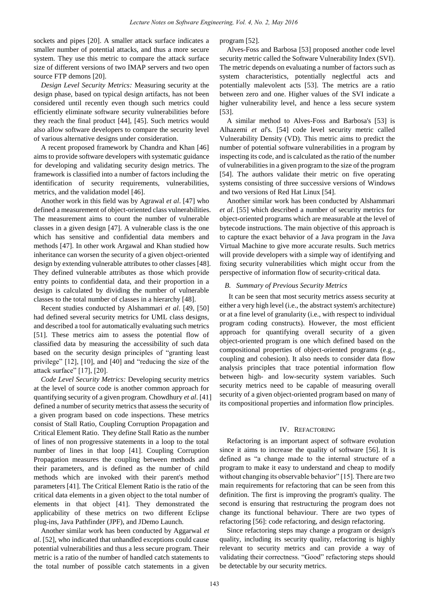sockets and pipes [20]. A smaller attack surface indicates a smaller number of potential attacks, and thus a more secure system. They use this metric to compare the attack surface size of different versions of two IMAP servers and two open source FTP demons [20].

*Design Level Security Metrics:* Measuring security at the design phase, based on typical design artifacts, has not been considered until recently even though such metrics could efficiently eliminate software security vulnerabilities before they reach the final product [44], [45]. Such metrics would also allow software developers to compare the security level of various alternative designs under consideration.

A recent proposed framework by Chandra and Khan [46] aims to provide software developers with systematic guidance for developing and validating security design metrics. The framework is classified into a number of factors including the identification of security requirements, vulnerabilities, metrics, and the validation model [46].

Another work in this field was by Agrawal *et al*. [47] who defined a measurement of object-oriented class vulnerabilities. The measurement aims to count the number of vulnerable classes in a given design [47]. A vulnerable class is the one which has sensitive and confidential data members and methods [47]. In other work Argawal and Khan studied how inheritance can worsen the security of a given object-oriented design by extending vulnerable attributes to other classes [48]. They defined vulnerable attributes as those which provide entry points to confidential data, and their proportion in a design is calculated by dividing the number of vulnerable classes to the total number of classes in a hierarchy [48].

Recent studies conducted by Alshammari *et al*. [49, [50] had defined several security metrics for UML class designs, and described a tool for automatically evaluating such metrics [51]. These metrics aim to assess the potential flow of classified data by measuring the accessibility of such data based on the security design principles of "granting least privilege" [12], [10], and [40] and "reducing the size of the attack surface" [17], [20].

*Code Level Security Metrics:* Developing security metrics at the level of source code is another common approach for quantifying security of a given program. Chowdhury *et al*. [41] defined a number of security metrics that assess the security of a given program based on code inspections. These metrics consist of Stall Ratio, Coupling Corruption Propagation and Critical Element Ratio. They define Stall Ratio as the number of lines of non progressive statements in a loop to the total number of lines in that loop [41]. Coupling Corruption Propagation measures the coupling between methods and their parameters, and is defined as the number of child methods which are invoked with their parent's method parameters [41]. The Critical Element Ratio is the ratio of the critical data elements in a given object to the total number of elements in that object [41]. They demonstrated the applicability of these metrics on two different Eclipse plug-ins, Java Pathfinder (JPF), and JDemo Launch.

Another similar work has been conducted by Aggarwal *et al*. [52], who indicated that unhandled exceptions could cause potential vulnerabilities and thus a less secure program. Their metric is a ratio of the number of handled catch statements to the total number of possible catch statements in a given program [52].

Alves-Foss and Barbosa [53] proposed another code level security metric called the Software Vulnerability Index (SVI). The metric depends on evaluating a number of factors such as system characteristics, potentially neglectful acts and potentially malevolent acts [53]. The metrics are a ratio between zero and one. Higher values of the SVI indicate a higher vulnerability level, and hence a less secure system [53].

A similar method to Alves-Foss and Barbosa's [53] is Alhazemi *et al*'s. [54] code level security metric called Vulnerability Density (VD). This metric aims to predict the number of potential software vulnerabilities in a program by inspecting its code, and is calculated as the ratio of the number of vulnerabilities in a given program to the size of the program [54]. The authors validate their metric on five operating systems consisting of three successive versions of Windows and two versions of Red Hat Linux [54].

Another similar work has been conducted by Alshammari *et al*. [55] which described a number of security metrics for object-oriented programs which are measurable at the level of bytecode instructions. The main objective of this approach is to capture the exact behavior of a Java program in the Java Virtual Machine to give more accurate results. Such metrics will provide developers with a simple way of identifying and fixing security vulnerabilities which might occur from the perspective of information flow of security-critical data.

#### *B. Summary of Previous Security Metrics*

It can be seen that most security metrics assess security at either a very high level (i.e., the abstract system's architecture) or at a fine level of granularity (i.e., with respect to individual program coding constructs). However, the most efficient approach for quantifying overall security of a given object-oriented program is one which defined based on the compositional properties of object-oriented programs (e.g., coupling and cohesion). It also needs to consider data flow analysis principles that trace potential information flow between high- and low-security system variables. Such security metrics need to be capable of measuring overall security of a given object-oriented program based on many of its compositional properties and information flow principles.

## IV. REFACTORING

Refactoring is an important aspect of software evolution since it aims to increase the quality of software [56]. It is defined as "a change made to the internal structure of a program to make it easy to understand and cheap to modify without changing its observable behavior" [15]. There are two main requirements for refactoring that can be seen from this definition. The first is improving the program's quality. The second is ensuring that restructuring the program does not change its functional behaviour. There are two types of refactoring [56]: code refactoring, and design refactoring.

Since refactoring steps may change a program or design's quality, including its security quality, refactoring is highly relevant to security metrics and can provide a way of validating their correctness. "Good" refactoring steps should be detectable by our security metrics.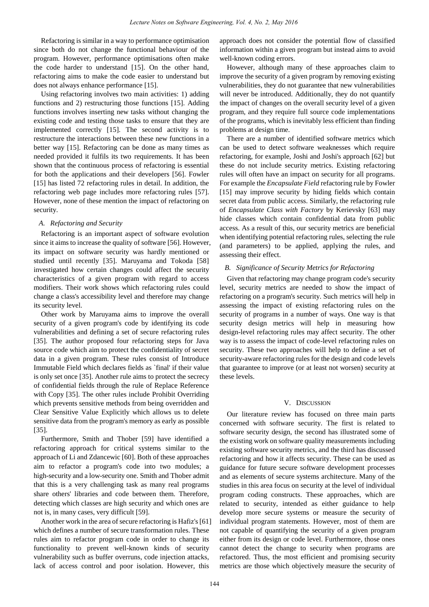Refactoring is similar in a way to performance optimisation since both do not change the functional behaviour of the program. However, performance optimisations often make the code harder to understand [15]. On the other hand, refactoring aims to make the code easier to understand but does not always enhance performance [15].

Using refactoring involves two main activities: 1) adding functions and 2) restructuring those functions [15]. Adding functions involves inserting new tasks without changing the existing code and testing those tasks to ensure that they are implemented correctly [15]. The second activity is to restructure the interactions between these new functions in a better way [15]. Refactoring can be done as many times as needed provided it fulfils its two requirements. It has been shown that the continuous process of refactoring is essential for both the applications and their developers [56]. Fowler [15] has listed 72 refactoring rules in detail. In addition, the refactoring web page includes more refactoring rules [57]. However, none of these mention the impact of refactoring on security.

# *A. Refactoring and Security*

Refactoring is an important aspect of software evolution since it aims to increase the quality of software [56]. However, its impact on software security was hardly mentioned or studied until recently [35]. Maruyama and Tokoda [58] investigated how certain changes could affect the security characteristics of a given program with regard to access modifiers. Their work shows which refactoring rules could change a class's accessibility level and therefore may change its security level.

Other work by Maruyama aims to improve the overall security of a given program's code by identifying its code vulnerabilities and defining a set of secure refactoring rules [35]. The author proposed four refactoring steps for Java source code which aim to protect the confidentiality of secret data in a given program. These rules consist of Introduce Immutable Field which declares fields as `final' if their value is only set once [35]. Another rule aims to protect the secrecy of confidential fields through the rule of Replace Reference with Copy [35]. The other rules include Prohibit Overriding which prevents sensitive methods from being overridden and Clear Sensitive Value Explicitly which allows us to delete sensitive data from the program's memory as early as possible [35].

Furthermore, Smith and Thober [59] have identified a refactoring approach for critical systems similar to the approach of Li and Zdancewic [60]. Both of these approaches aim to refactor a program's code into two modules; a high-security and a low-security one. Smith and Thober admit that this is a very challenging task as many real programs share others' libraries and code between them. Therefore, detecting which classes are high security and which ones are not is, in many cases, very difficult [59].

Another work in the area of secure refactoring is Hafiz's [61] which defines a number of secure transformation rules. These rules aim to refactor program code in order to change its functionality to prevent well-known kinds of security vulnerability such as buffer overruns, code injection attacks, lack of access control and poor isolation. However, this

approach does not consider the potential flow of classified information within a given program but instead aims to avoid well-known coding errors.

However, although many of these approaches claim to improve the security of a given program by removing existing vulnerabilities, they do not guarantee that new vulnerabilities will never be introduced. Additionally, they do not quantify the impact of changes on the overall security level of a given program, and they require full source code implementations of the programs, which is inevitably less efficient than finding problems at design time.

There are a number of identified software metrics which can be used to detect software weaknesses which require refactoring, for example, Joshi and Joshi's approach [62] but these do not include security metrics. Existing refactoring rules will often have an impact on security for all programs. For example the *Encapsulate Field* refactoring rule by Fowler [15] may improve security by hiding fields which contain secret data from public access. Similarly, the refactoring rule of *Encapsulate Class with Factory* by Kerievsky [63] may hide classes which contain confidential data from public access. As a result of this, our security metrics are beneficial when identifying potential refactoring rules, selecting the rule (and parameters) to be applied, applying the rules, and assessing their effect.

#### *B. Significance of Security Metrics for Refactoring*

Given that refactoring may change program code's security level, security metrics are needed to show the impact of refactoring on a program's security. Such metrics will help in assessing the impact of existing refactoring rules on the security of programs in a number of ways. One way is that security design metrics will help in measuring how design-level refactoring rules may affect security. The other way is to assess the impact of code-level refactoring rules on security. These two approaches will help to define a set of security-aware refactoring rules for the design and code levels that guarantee to improve (or at least not worsen) security at these levels.

#### V. DISCUSSION

Our literature review has focused on three main parts concerned with software security. The first is related to software security design, the second has illustrated some of the existing work on software quality measurements including existing software security metrics, and the third has discussed refactoring and how it affects security. These can be used as guidance for future secure software development processes and as elements of secure systems architecture. Many of the studies in this area focus on security at the level of individual program coding constructs. These approaches, which are related to security, intended as either guidance to help develop more secure systems or measure the security of individual program statements. However, most of them are not capable of quantifying the security of a given program either from its design or code level. Furthermore, those ones cannot detect the change to security when programs are refactored. Thus, the most efficient and promising security metrics are those which objectively measure the security of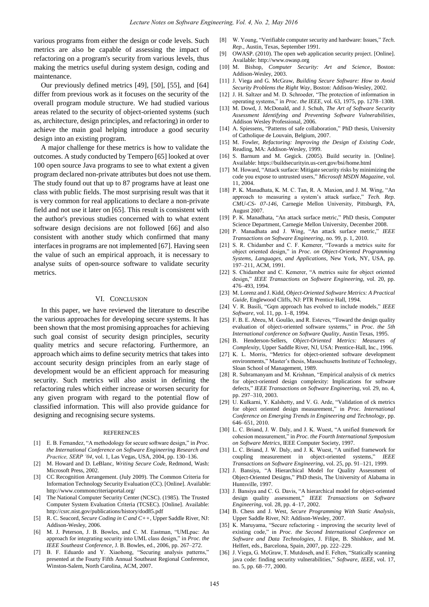various programs from either the design or code levels. Such metrics are also be capable of assessing the impact of refactoring on a program's security from various levels, thus making the metrics useful during system design, coding and maintenance.

Our previously defined metrics [49], [50], [55], and [64] differ from previous work as it focuses on the security of the overall program module structure. We had studied various areas related to the security of object-oriented systems (such as, architecture, design principles, and refactoring) in order to achieve the main goal helping introduce a good security design into an existing program.

A major challenge for these metrics is how to validate the outcomes. A study conducted by Tempero [65] looked at over 100 open source Java programs to see to what extent a given program declared non-private attributes but does not use them. The study found out that up to 87 programs have at least one class with public fields. The most surprising result was that it is very common for real applications to declare a non-private field and not use it later on [65]. This result is consistent with the author's previous studies concerned with to what extent software design decisions are not followed [66] and also consistent with another study which confirmed that many interfaces in programs are not implemented [67]. Having seen the value of such an empirical approach, it is necessary to analyse suits of open-source software to validate security metrics.

#### VI. CONCLUSION

In this paper, we have reviewed the literature to describe the various approaches for developing secure systems. It has been shown that the most promising approaches for achieving such goal consist of security design principles, security quality metrics and secure refactoring. Furthermore, an approach which aims to define security metrics that takes into account security design principles from an early stage of development would be an efficient approach for measuring security. Such metrics will also assist in defining the refactoring rules which either increase or worsen security for any given program with regard to the potential flow of classified information. This will also provide guidance for designing and recognising secure systems.

#### REFERENCES

- [1] E. B. Fernandez, "A methodology for secure software design," in *Proc. the International Conference on Software Engineering Research and Practice, SERP '04*, vol. 1, Las Vegas, USA, 2004, pp. 130–136.
- [2] M. Howard and D. LeBlanc, *Writing Secure Cod*e, Redmond, Wash: Microsoft Press, 2002.
- [3] CC Recognition Arrangement. (July 2009). The Common Criteria for Information Technology Security Evaluation (CC). [Online]. Available: http://www.commoncriteriaportal.org/
- The National Computer Security Center (NCSC). (1985). The Trusted Computer System Evaluation Criteria (TCSEC). [Online]. Available: http://csrc.nist.gov/publications/history/dod85.pdf
- [5] R. C. Seacord, *Secure Coding in C and C++*, Upper Saddle River, NJ: Addison-Wesley, 2006.
- [6] M. J. Peterson, J. B. Bowles, and C. M. Eastman, "UMLpac: An approach for integrating security into UML class design," in *Proc. the IEEE Southeast Conference,* J. B. Bowles, ed., 2006, pp. 267–272.
- [7] B. F. Eduardo and Y. Xiaohong, "Securing analysis patterns," presented at the Fourty Fifth Annual Southeast Regional Conference, Winston-Salem, North Carolina, ACM, 2007.
- [8] W. Young, "Verifiable computer security and hardware: Issues," *Tech. Rep.*, Austin, Texas, September 1991.
- [9] OWASP. (2010). The open web application security project. [Online]. Available: http://www.owasp.org
- [10] M. Bishop, *Computer Security: Art and Science*, Boston: Addison-Wesley, 2003.
- [11] J. Viega and G. McGraw, *Building Secure Software: How to Avoid Security Problems the Right Way*, Boston: Addison-Wesley, 2002.
- [12] J. H. Saltzer and M. D. Schroeder, "The protection of information in operating systems," in *Proc. the IEEE*, vol. 63, 1975, pp. 1278–1308.
- [13] M. Dowd, J. McDonald, and J. Schuh, *The Art of Software Security Assessment Identifying and Preventing Software Vulnerabilities*, Addison Wesley Professional, 2006.
- [14] A. Spiessens, "Patterns of safe collaboration," PhD thesis, University of Catholique de Louvain, Belgium, 2007.
- [15] M. Fowler, *Refactoring: Improving the Design of Existing Code*, Reading, MA: Addison-Wesley, 1999.
- [16] S. Barnum and M. Gegick. (2005). Build security in. [Online]. Available: https://buildsecurityin.us-cert.gov/bsi/home.html
- [17] M. Howard, "Attack surface: Mitigate security risks by minimizing the code you expose to untrusted users," *Microsoft MSDN Magazine*, vol. 11, 2004.
- [18] P. K. Manadhata, K. M. C. Tan, R. A. Maxion, and J. M. Wing, "An approach to measuring a system's attack surface," Tech. Rep. *CMU-CS- 07-146*, Carnegie Mellon University, Pittsburgh, PA, August 2007.
- [19] P. K. Manadhata, "An attack surface metric," PhD thesis, Computer Science Department, Carnegie Mellon University, December 2008.
- [20] P. Manadhata and J. Wing, "An attack surface metric," *IEEE Transactions on Software Engineering*, no. 99, p. 1, 2010.
- [21] S. R. Chidamber and C. F. Kemerer, "Towards a metrics suite for object oriented design," in *Proc. on Object-Oriented Programming Systems, Languages, and Applications,* New York, NY, USA, pp. 197–211, ACM, 1991.
- [22] S. Chidamber and C. Kemerer, "A metrics suite for object oriented design," *IEEE Transactions on Software Engineering*, vol. 20, pp. 476–493, 1994.
- [23] M. Lorenz and J. Kidd, *Object-Oriented Software Metrics: A Practical Guide,* Englewood Cliffs, NJ: PTR Prentice Hall, 1994.
- [24] V. R. Basili, "Gqm approach has evolved to include models," *IEEE Software*, vol. 11, pp. 1–8, 1994.
- [25] F. B. E. Abreu, M. Goulão, and R. Esteves, "Toward the design quality evaluation of object-oriented software systems," in *Proc. the 5th International conference on Software Quality*, Austin Texas, 1995.
- [26] B. Henderson-Sellers, *Object-Oriented Metrics: Measures of Complexity*, Upper Saddle River, NJ, USA: Prentice-Hall, Inc., 1996.
- [27] K. L. Morris, "Metrics for object-oriented software development environments," Master"s thesis, Massachusetts Institute of Technology, Sloan School of Management, 1989.
- [28] R. Subramanyam and M. Krishnan, "Empirical analysis of ck metrics for object-oriented design complexity: Implications for software defects," *IEEE Transactions on Software Engineering*, vol. 29, no. 4, pp. 297–310, 2003.
- [29] U. Kulkarni, Y. Kalshetty, and V. G. Arde, "Validation of ck metrics for object oriented design measurement," in *Proc. International Conference on Emerging Trends in Engineering and Technology*, pp. 646–651, 2010.
- [30] L. C. Briand, J. W. Daly, and J. K. Wuest, "A unified framework for cohesion measurement," in *Proc. the Fourth International Symposium on Software Metrics*, IEEE Computer Society, 1997.
- [31] L. C. Briand, J. W. Daly, and J. K. Wuest, "A unified framework for coupling measurement in object-oriented systems," *IEEE Transactions on Software Engineering*, vol. 25, pp. 91–121, 1999.
- [32] J. Bansiya, "A Hierarchical Model for Quality Assessment of Object-Oriented Designs," PhD thesis, The University of Alabama in Huntsville, 1997.
- [33] J. Bansiya and C. G. Davis, "A hierarchical model for object-oriented design quality assessment," *IEEE Transactions on Software Engineering*, vol. 28, pp. 4–17, 2002.
- [34] B. Chess and J. West, *Secure Programming With Static Analysis*, Upper Saddle River, NJ: Addison-Wesley, 2007.
- [35] K. Maruyama, "Secure refactoring improving the security level of existing code," in *Proc. the Second International Conference on Software and Data Technologies,* J. Filipe, B. Shishkov, and M. Helfert, eds., Barcelona, Spain, 2007, pp. 222–229.
- [36] J. Viega, G. McGraw, T. Mutdoseh, and E. Felten, "Statically scanning java code: finding security vulnerabilities," *Software, IEEE*, vol. 17, no. 5, pp. 68–77, 2000.